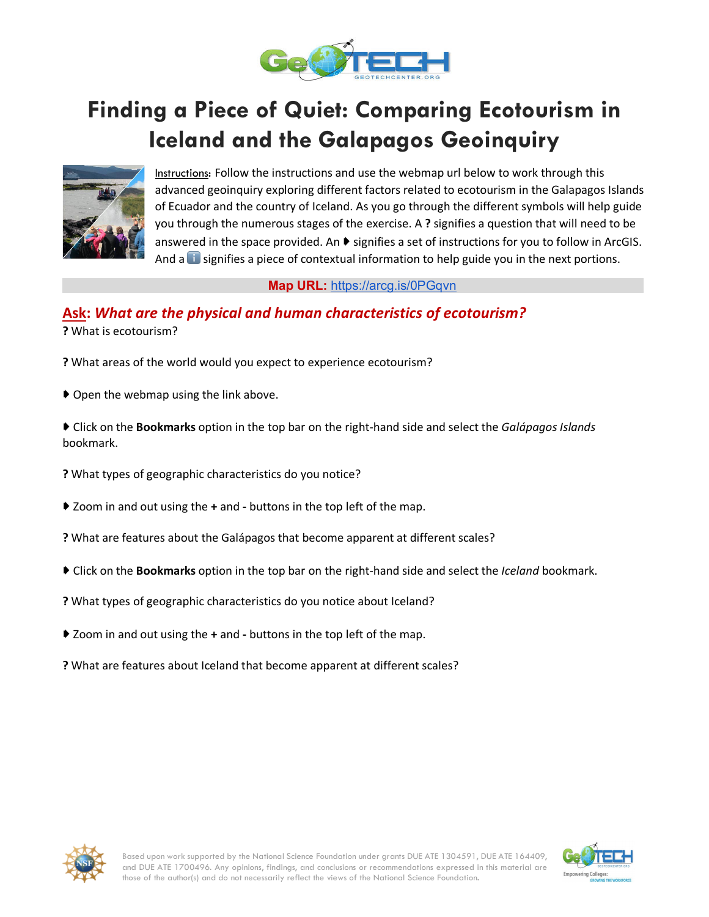

# **Finding a Piece of Quiet: Comparing Ecotourism in Iceland and the Galapagos Geoinquiry**



Instructions: Follow the instructions and use the webmap url below to work through this advanced geoinquiry exploring different factors related to ecotourism in the Galapagos Islands of Ecuador and the country of Iceland. As you go through the different symbols will help guide you through the numerous stages of the exercise. A **?** signifies a question that will need to be answered in the space provided. An ▶ signifies a set of instructions for you to follow in ArcGIS. And a **i** signifies a piece of contextual information to help guide you in the next portions.

**Map URL:** https://arcg.is/0PGqvn

# **Ask:** *What are the physical and human characteristics of ecotourism?*

**?** What is ecotourism?

- **?** What areas of the world would you expect to experience ecotourism?
- ➧ Open the webmap using the link above.
- ➧ Click on the **Bookmarks** option in the top bar on the right-hand side and select the *Galápagos Islands* bookmark.
- **?** What types of geographic characteristics do you notice?
- ➧ Zoom in and out using the **+** and **-** buttons in the top left of the map.
- **?** What are features about the Galápagos that become apparent at different scales?
- ➧ Click on the **Bookmarks** option in the top bar on the right-hand side and select the *Iceland* bookmark.
- **?** What types of geographic characteristics do you notice about Iceland?
- ➧ Zoom in and out using the **+** and **-** buttons in the top left of the map.
- **?** What are features about Iceland that become apparent at different scales?



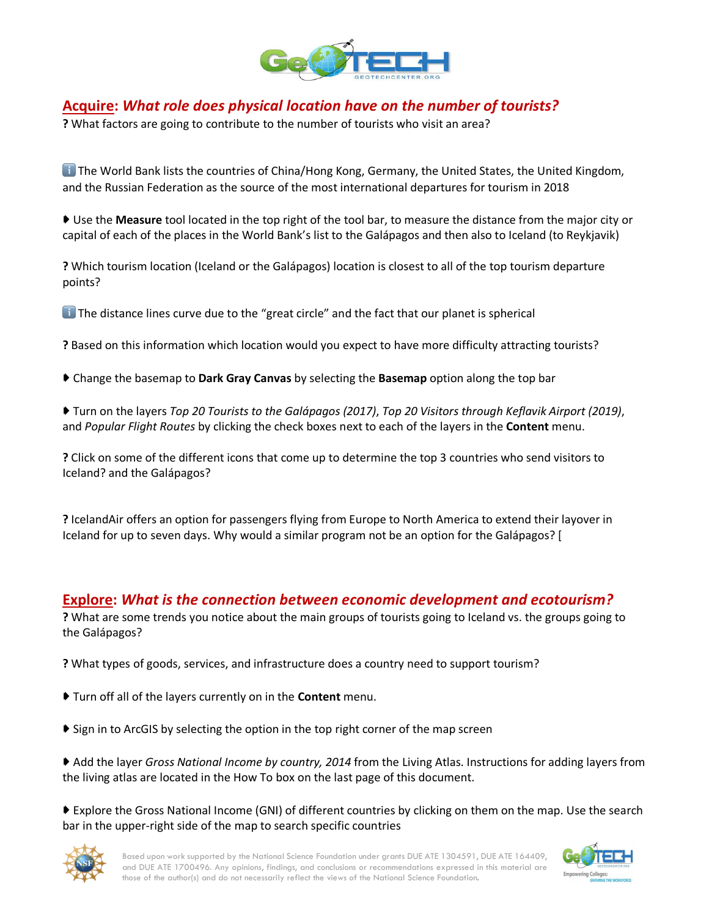

# **Acquire:** *What role does physical location have on the number of tourists?*

**?** What factors are going to contribute to the number of tourists who visit an area?

**The World Bank lists the countries of China/Hong Kong, Germany, the United States, the United Kingdom,** and the Russian Federation as the source of the most international departures for tourism in 2018

➧ Use the **Measure** tool located in the top right of the tool bar, to measure the distance from the major city or capital of each of the places in the World Bank's list to the Galápagos and then also to Iceland (to Reykjavik)

**?** Which tourism location (Iceland or the Galápagos) location is closest to all of the top tourism departure points?

 $\Box$  The distance lines curve due to the "great circle" and the fact that our planet is spherical

**?** Based on this information which location would you expect to have more difficulty attracting tourists?

- ➧ Change the basemap to **Dark Gray Canvas** by selecting the **Basemap** option along the top bar
- ➧ Turn on the layers *Top 20 Tourists to the Galápagos (2017)*, *Top 20 Visitors through Keflavik Airport (2019)*, and *Popular Flight Routes* by clicking the check boxes next to each of the layers in the **Content** menu.

**?** Click on some of the different icons that come up to determine the top 3 countries who send visitors to Iceland? and the Galápagos?

**?** IcelandAir offers an option for passengers flying from Europe to North America to extend their layover in Iceland for up to seven days. Why would a similar program not be an option for the Galápagos? [

### **Explore:** *What is the connection between economic development and ecotourism?*

**?** What are some trends you notice about the main groups of tourists going to Iceland vs. the groups going to the Galápagos?

**?** What types of goods, services, and infrastructure does a country need to support tourism?

- ➧ Turn off all of the layers currently on in the **Content** menu.
- ➧ Sign in to ArcGIS by selecting the option in the top right corner of the map screen
- ➧ Add the layer *Gross National Income by country, 2014* from the Living Atlas. Instructions for adding layers from the living atlas are located in the How To box on the last page of this document.

▶ Explore the Gross National Income (GNI) of different countries by clicking on them on the map. Use the search bar in the upper-right side of the map to search specific countries



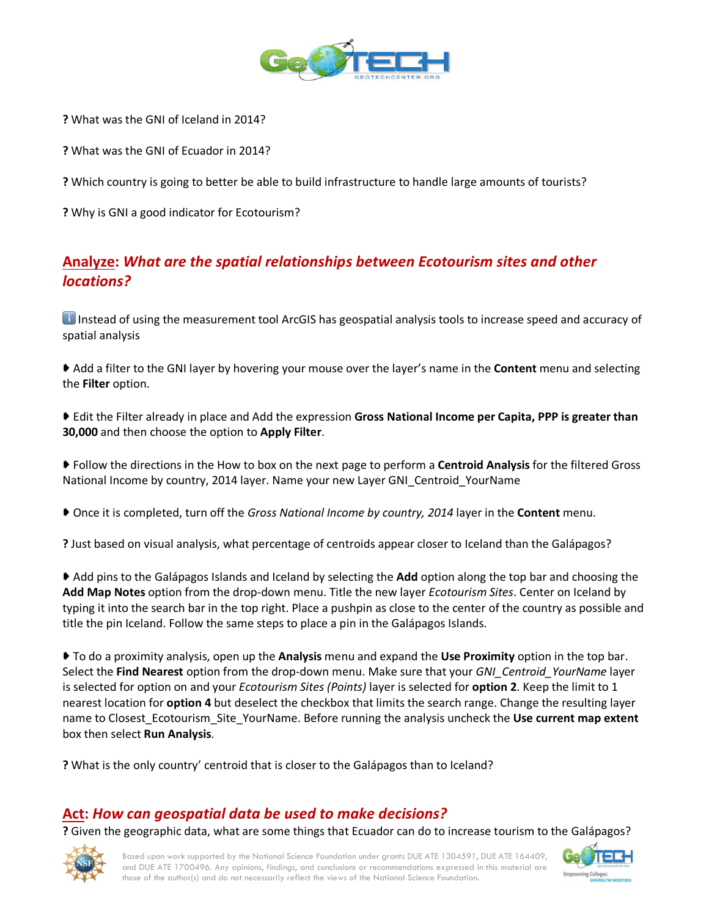

**?** What was the GNI of Iceland in 2014?

**?** What was the GNI of Ecuador in 2014?

**?** Which country is going to better be able to build infrastructure to handle large amounts of tourists?

**?** Why is GNI a good indicator for Ecotourism?

# **Analyze:** *What are the spatial relationships between Ecotourism sites and other locations?*

**i** Instead of using the measurement tool ArcGIS has geospatial analysis tools to increase speed and accuracy of spatial analysis

➧ Add a filter to the GNI layer by hovering your mouse over the layer's name in the **Content** menu and selecting the **Filter** option.

- ➧ Edit the Filter already in place and Add the expression **Gross National Income per Capita, PPP is greater than 30,000** and then choose the option to **Apply Filter**.
- ➧ Follow the directions in the How to box on the next page to perform a **Centroid Analysis** for the filtered Gross National Income by country, 2014 layer. Name your new Layer GNI\_Centroid\_YourName
- ➧ Once it is completed, turn off the *Gross National Income by country, 2014* layer in the **Content** menu.
- **?** Just based on visual analysis, what percentage of centroids appear closer to Iceland than the Galápagos?

➧ Add pins to the Galápagos Islands and Iceland by selecting the **Add** option along the top bar and choosing the **Add Map Notes** option from the drop-down menu. Title the new layer *Ecotourism Sites*. Center on Iceland by typing it into the search bar in the top right. Place a pushpin as close to the center of the country as possible and title the pin Iceland. Follow the same steps to place a pin in the Galápagos Islands.

➧ To do a proximity analysis, open up the **Analysis** menu and expand the **Use Proximity** option in the top bar. Select the **Find Nearest** option from the drop-down menu. Make sure that your *GNI\_Centroid\_YourName* layer is selected for option on and your *Ecotourism Sites (Points)* layer is selected for **option 2**. Keep the limit to 1 nearest location for **option 4** but deselect the checkbox that limits the search range. Change the resulting layer name to Closest\_Ecotourism\_Site\_YourName. Before running the analysis uncheck the **Use current map extent** box then select **Run Analysis**.

**?** What is the only country' centroid that is closer to the Galápagos than to Iceland?

### **Act:** *How can geospatial data be used to make decisions?*

**?** Given the geographic data, what are some things that Ecuador can do to increase tourism to the Galápagos?



Based upon work supported by the National Science Foundation under grants DUE ATE 1304591, DUE ATE 164409, and DUE ATE 1700496. Any opinions, findings, and conclusions or recommendations expressed in this material are those of the author(s) and do not necessarily reflect the views of the National Science Foundation.